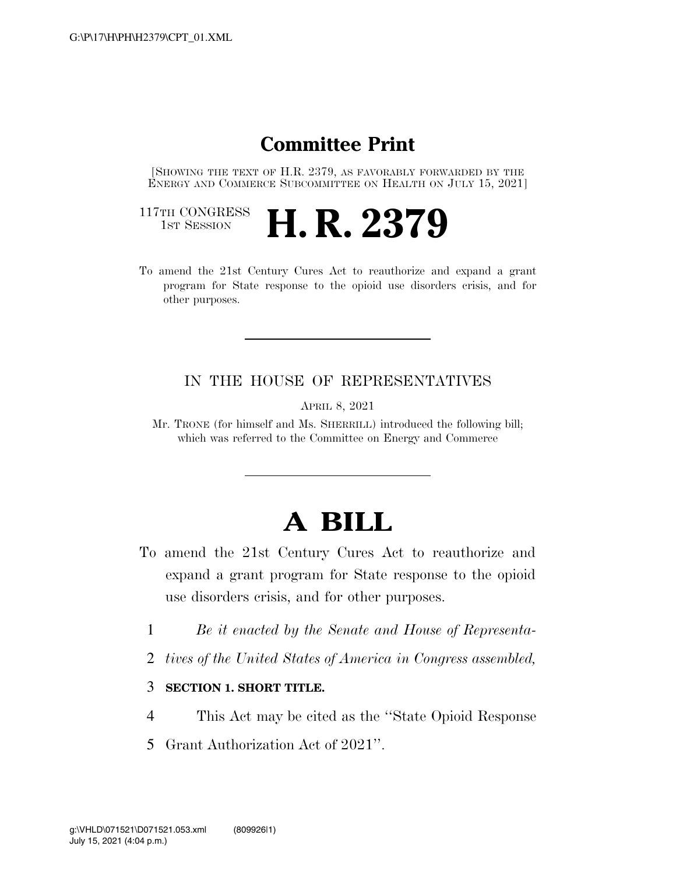### **Committee Print**

[SHOWING THE TEXT OF H.R. 2379, AS FAVORABLY FORWARDED BY THE ENERGY AND COMMERCE SUBCOMMITTEE ON HEALTH ON JULY 15, 2021]

117TH CONGRESS<br>1st Session

- H. R. 2379
- To amend the 21st Century Cures Act to reauthorize and expand a grant program for State response to the opioid use disorders crisis, and for other purposes.

### IN THE HOUSE OF REPRESENTATIVES

APRIL 8, 2021

Mr. TRONE (for himself and Ms. SHERRILL) introduced the following bill; which was referred to the Committee on Energy and Commerce

# **A BILL**

- To amend the 21st Century Cures Act to reauthorize and expand a grant program for State response to the opioid use disorders crisis, and for other purposes.
	- 1 *Be it enacted by the Senate and House of Representa-*
	- 2 *tives of the United States of America in Congress assembled,*

#### 3 **SECTION 1. SHORT TITLE.**

- 4 This Act may be cited as the ''State Opioid Response
- 5 Grant Authorization Act of 2021''.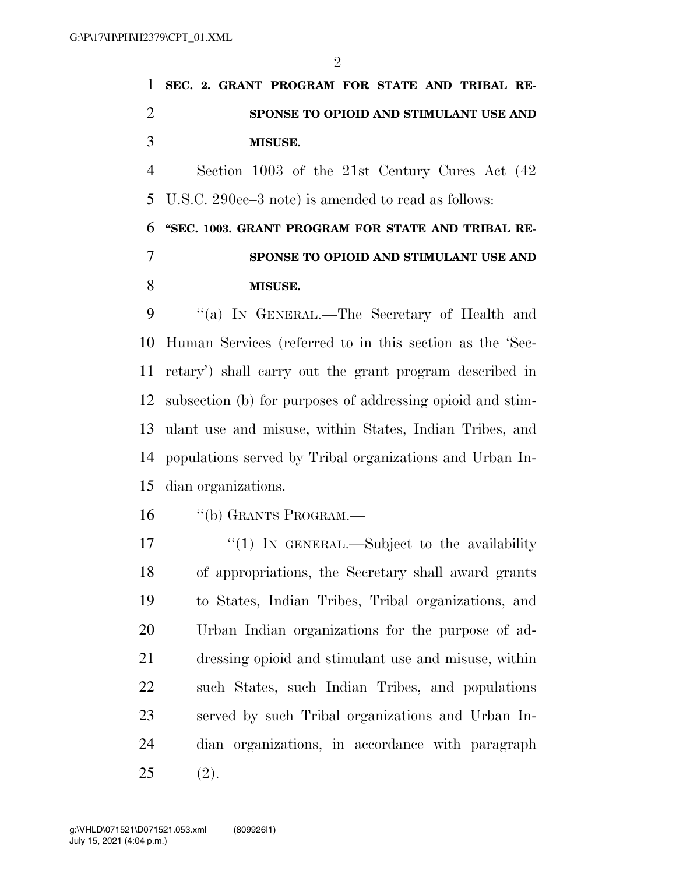|    | 1 SEC. 2. GRANT PROGRAM FOR STATE AND TRIBAL RE-      |
|----|-------------------------------------------------------|
| 2  | SPONSE TO OPIOID AND STIMULANT USE AND                |
| -3 | <b>MISUSE.</b>                                        |
| 4  | Section 1003 of the 21st Century Cures Act (42)       |
|    | 5 U.S.C. 290ee–3 note) is amended to read as follows: |

## **''SEC. 1003. GRANT PROGRAM FOR STATE AND TRIBAL RE- SPONSE TO OPIOID AND STIMULANT USE AND MISUSE.**

 ''(a) IN GENERAL.—The Secretary of Health and Human Services (referred to in this section as the 'Sec- retary') shall carry out the grant program described in subsection (b) for purposes of addressing opioid and stim- ulant use and misuse, within States, Indian Tribes, and populations served by Tribal organizations and Urban In-dian organizations.

- ''(b) GRANTS PROGRAM.—
- 17 "(1) In GENERAL.—Subject to the availability of appropriations, the Secretary shall award grants to States, Indian Tribes, Tribal organizations, and Urban Indian organizations for the purpose of ad- dressing opioid and stimulant use and misuse, within such States, such Indian Tribes, and populations served by such Tribal organizations and Urban In- dian organizations, in accordance with paragraph (2).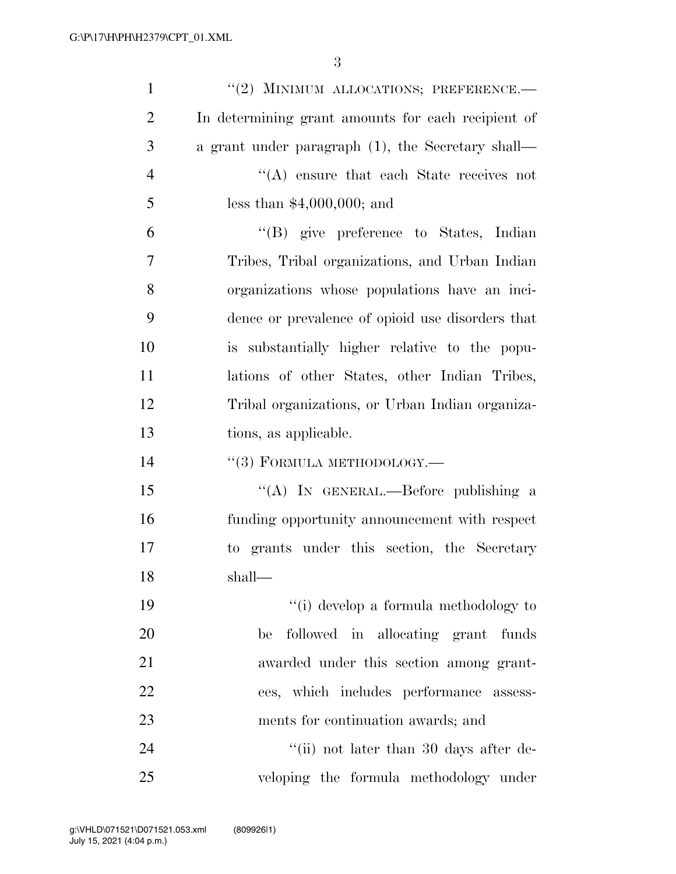| $\mathbf{1}$   | "(2) MINIMUM ALLOCATIONS; PREFERENCE.-             |
|----------------|----------------------------------------------------|
| $\overline{2}$ | In determining grant amounts for each recipient of |
| 3              | a grant under paragraph (1), the Secretary shall—  |
| $\overline{4}$ | $\lq\lq$ ensure that each State receives not       |
| 5              | less than $$4,000,000;$ and                        |
| 6              | "(B) give preference to States, Indian             |
| $\tau$         | Tribes, Tribal organizations, and Urban Indian     |
| 8              | organizations whose populations have an inci-      |
| 9              | dence or prevalence of opioid use disorders that   |
| 10             | is substantially higher relative to the popu-      |
| 11             | lations of other States, other Indian Tribes,      |
| 12             | Tribal organizations, or Urban Indian organiza-    |
| 13             | tions, as applicable.                              |
| 14             | $``(3)$ FORMULA METHODOLOGY.—                      |
| 15             | "(A) IN GENERAL.—Before publishing a               |
| 16             | funding opportunity announcement with respect      |
| 17             | to grants under this section, the Secretary        |
| 18             | shall—                                             |
| 19             | $``(i)$ develop a formula methodology to           |
| <b>20</b>      | followed in allocating grant<br>funds<br>be        |
| 21             | awarded under this section among grant-            |
| 22             | ees, which includes performance assess-            |
| 23             | ments for continuation awards; and                 |
| 24             | "(ii) not later than 30 days after de-             |
| 25             | veloping the formula methodology under             |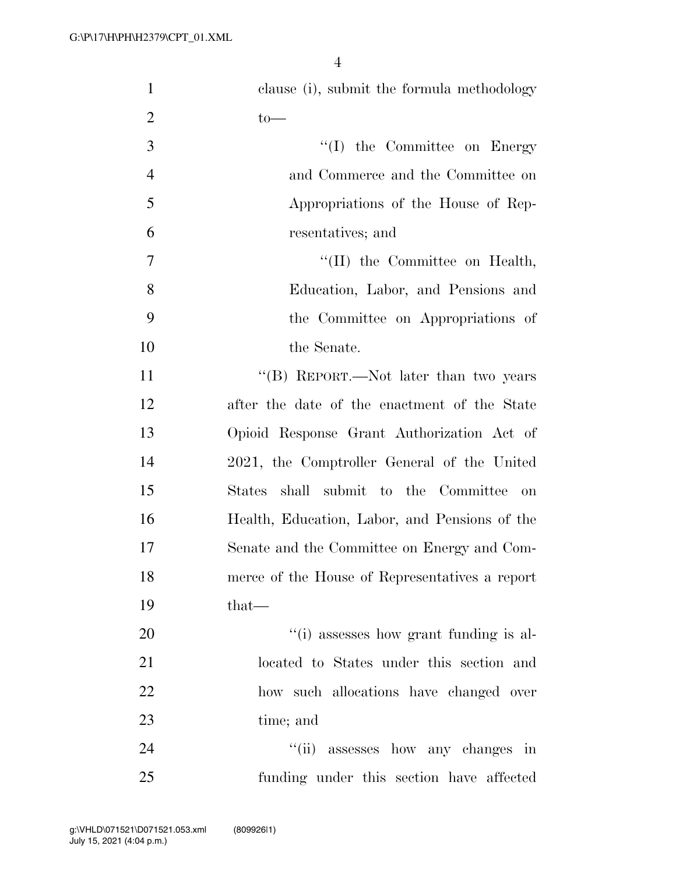| $\mathbf{1}$   | clause (i), submit the formula methodology               |
|----------------|----------------------------------------------------------|
| $\overline{2}$ | $to-$                                                    |
| 3              | $\lq\lq$ (I) the Committee on Energy                     |
| $\overline{4}$ | and Commerce and the Committee on                        |
| 5              | Appropriations of the House of Rep-                      |
| 6              | resentatives; and                                        |
| $\overline{7}$ | $\lq\lq$ (II) the Committee on Health,                   |
| 8              | Education, Labor, and Pensions and                       |
| 9              | the Committee on Appropriations of                       |
| 10             | the Senate.                                              |
| 11             | "(B) REPORT.—Not later than two years                    |
| 12             | after the date of the enactment of the State             |
| 13             | Opioid Response Grant Authorization Act of               |
| 14             | 2021, the Comptroller General of the United              |
| 15             | shall submit to the Committee<br>$\mathrm{States}$<br>on |
| 16             | Health, Education, Labor, and Pensions of the            |
| 17             | Senate and the Committee on Energy and Com-              |
| 18             | merce of the House of Representatives a report           |
| 19             | that—                                                    |
| 20             | "(i) assesses how grant funding is al-                   |
| 21             | located to States under this section and                 |
| 22             | how such allocations have changed over                   |
| 23             | time; and                                                |
| 24             | "(ii) assesses how any changes in                        |
| 25             | funding under this section have affected                 |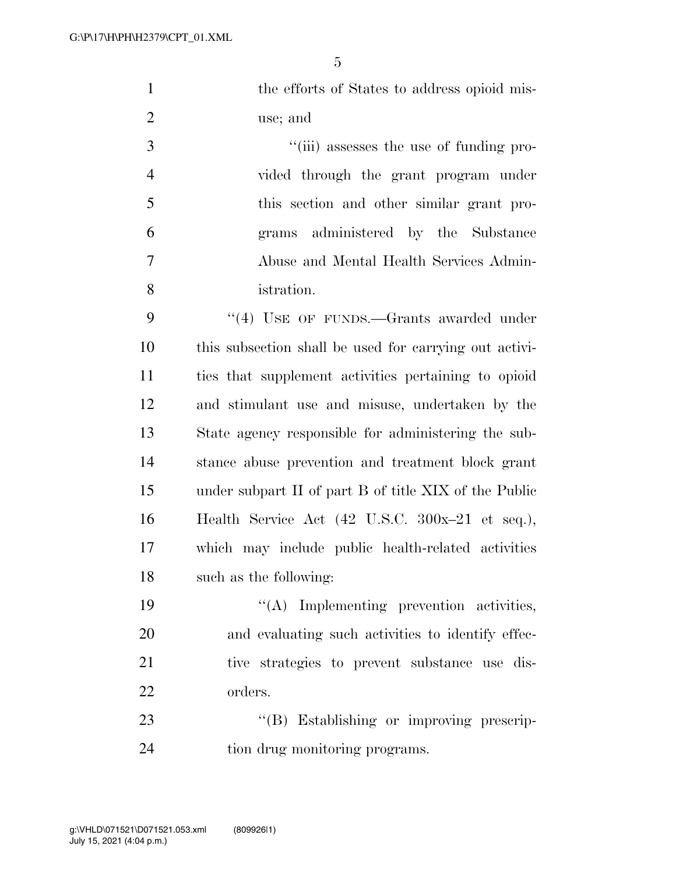|    | the efforts of States to address opioid mis- |
|----|----------------------------------------------|
|    | use; and                                     |
| -3 | "(iii) assesses the use of funding pro-      |
|    | vided through the grant program under        |
|    |                                              |

 this section and other similar grant pro- grams administered by the Substance Abuse and Mental Health Services Admin-istration.

9 "(4) USE OF FUNDS.—Grants awarded under this subsection shall be used for carrying out activi- ties that supplement activities pertaining to opioid and stimulant use and misuse, undertaken by the State agency responsible for administering the sub- stance abuse prevention and treatment block grant under subpart II of part B of title XIX of the Public Health Service Act (42 U.S.C. 300x–21 et seq.), which may include public health-related activities such as the following:

 ''(A) Implementing prevention activities, and evaluating such activities to identify effec- tive strategies to prevent substance use dis-orders.

23 "'(B) Establishing or improving prescrip-tion drug monitoring programs.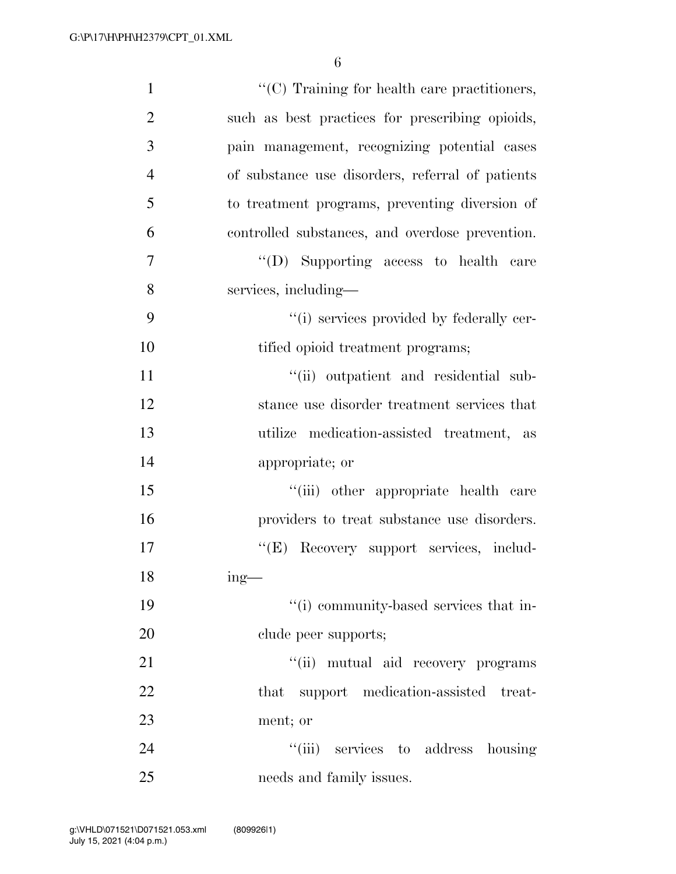| $\mathbf{1}$   | "(C) Training for health care practitioners,     |
|----------------|--------------------------------------------------|
| $\overline{2}$ | such as best practices for prescribing opioids,  |
| 3              | pain management, recognizing potential cases     |
| $\overline{4}$ | of substance use disorders, referral of patients |
| 5              | to treatment programs, preventing diversion of   |
| 6              | controlled substances, and overdose prevention.  |
| $\tau$         | "(D) Supporting access to health care            |
| 8              | services, including—                             |
| 9              | "(i) services provided by federally cer-         |
| 10             | tified opioid treatment programs;                |
| 11             | "(ii) outpatient and residential sub-            |
| 12             | stance use disorder treatment services that      |
| 13             | utilize medication-assisted treatment, as        |
| 14             | appropriate; or                                  |
| 15             | "(iii) other appropriate health care             |
| 16             | providers to treat substance use disorders.      |
| 17             | "(E) Recovery support services, includ-          |
| 18             | $ing$ —                                          |
| 19             | "(i) community-based services that in-           |
| 20             | clude peer supports;                             |
| 21             | "(ii) mutual aid recovery programs               |
| 22             | that support medication-assisted treat-          |
| 23             | ment; or                                         |
| 24             | "(iii) services to address housing               |
| 25             | needs and family issues.                         |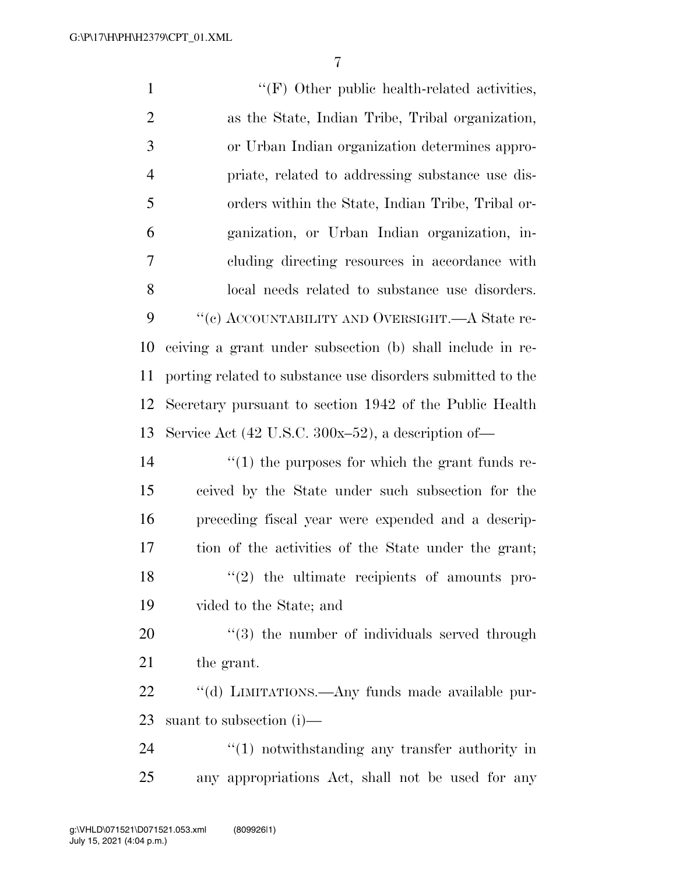1 ''(F) Other public health-related activities, as the State, Indian Tribe, Tribal organization, or Urban Indian organization determines appro- priate, related to addressing substance use dis- orders within the State, Indian Tribe, Tribal or- ganization, or Urban Indian organization, in- cluding directing resources in accordance with local needs related to substance use disorders.  $\cdot$  "(c) ACCOUNTABILITY AND OVERSIGHT.—A State re- ceiving a grant under subsection (b) shall include in re- porting related to substance use disorders submitted to the Secretary pursuant to section 1942 of the Public Health Service Act (42 U.S.C. 300x–52), a description of—  $\frac{1}{2}$  (1) the purposes for which the grant funds re- ceived by the State under such subsection for the preceding fiscal year were expended and a descrip- tion of the activities of the State under the grant; 18 ''(2) the ultimate recipients of amounts pro- vided to the State; and  $\frac{1}{20}$  the number of individuals served through the grant. 22 "(d) LIMITATIONS.—Any funds made available pur- suant to subsection (i)—  $\frac{1}{2}$  (1) notwithstanding any transfer authority in any appropriations Act, shall not be used for any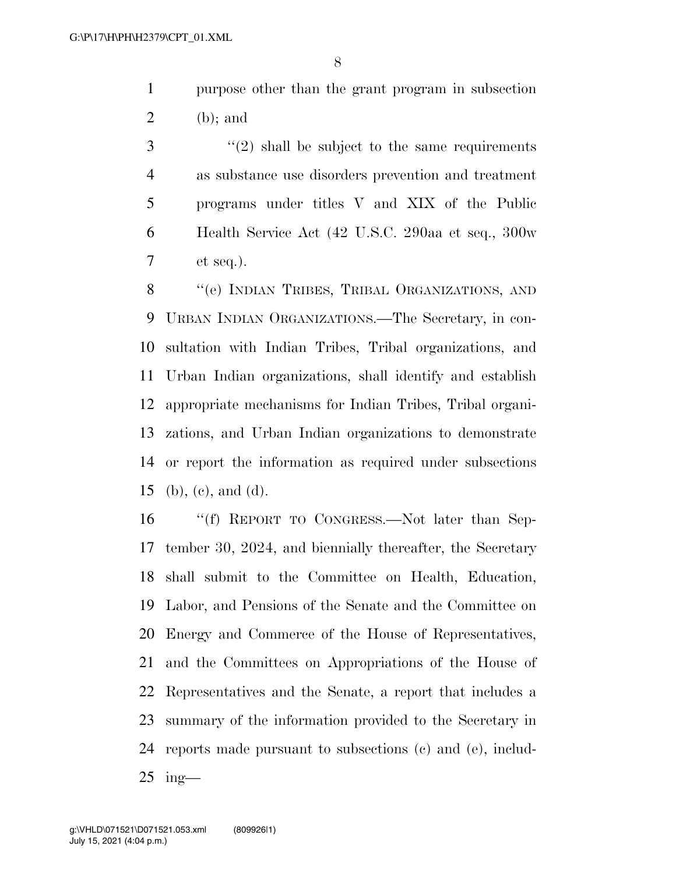purpose other than the grant program in subsection (b); and

 ''(2) shall be subject to the same requirements as substance use disorders prevention and treatment programs under titles V and XIX of the Public Health Service Act (42 U.S.C. 290aa et seq., 300w et seq.).

8 "'(e) INDIAN TRIBES, TRIBAL ORGANIZATIONS, AND URBAN INDIAN ORGANIZATIONS.—The Secretary, in con- sultation with Indian Tribes, Tribal organizations, and Urban Indian organizations, shall identify and establish appropriate mechanisms for Indian Tribes, Tribal organi- zations, and Urban Indian organizations to demonstrate or report the information as required under subsections (b), (c), and (d).

 ''(f) REPORT TO CONGRESS.—Not later than Sep- tember 30, 2024, and biennially thereafter, the Secretary shall submit to the Committee on Health, Education, Labor, and Pensions of the Senate and the Committee on Energy and Commerce of the House of Representatives, and the Committees on Appropriations of the House of Representatives and the Senate, a report that includes a summary of the information provided to the Secretary in reports made pursuant to subsections (c) and (e), includ-ing—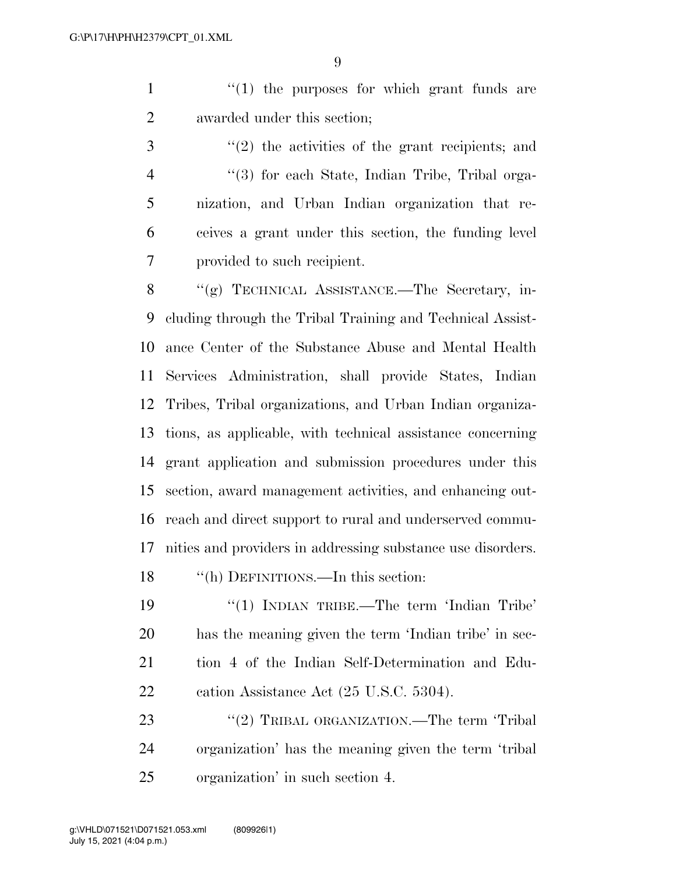$\mathcal{L}(1)$  the purposes for which grant funds are awarded under this section;

3 ''(2) the activities of the grant recipients; and ''(3) for each State, Indian Tribe, Tribal orga- nization, and Urban Indian organization that re- ceives a grant under this section, the funding level provided to such recipient.

 ''(g) TECHNICAL ASSISTANCE.—The Secretary, in- cluding through the Tribal Training and Technical Assist- ance Center of the Substance Abuse and Mental Health Services Administration, shall provide States, Indian Tribes, Tribal organizations, and Urban Indian organiza- tions, as applicable, with technical assistance concerning grant application and submission procedures under this section, award management activities, and enhancing out- reach and direct support to rural and underserved commu- nities and providers in addressing substance use disorders. 18 "(h) DEFINITIONS.—In this section:

19 "(1) INDIAN TRIBE.—The term 'Indian Tribe' has the meaning given the term 'Indian tribe' in sec- tion 4 of the Indian Self-Determination and Edu-22 cation Assistance Act (25 U.S.C. 5304).

23 "(2) TRIBAL ORGANIZATION.—The term 'Tribal organization' has the meaning given the term 'tribal organization' in such section 4.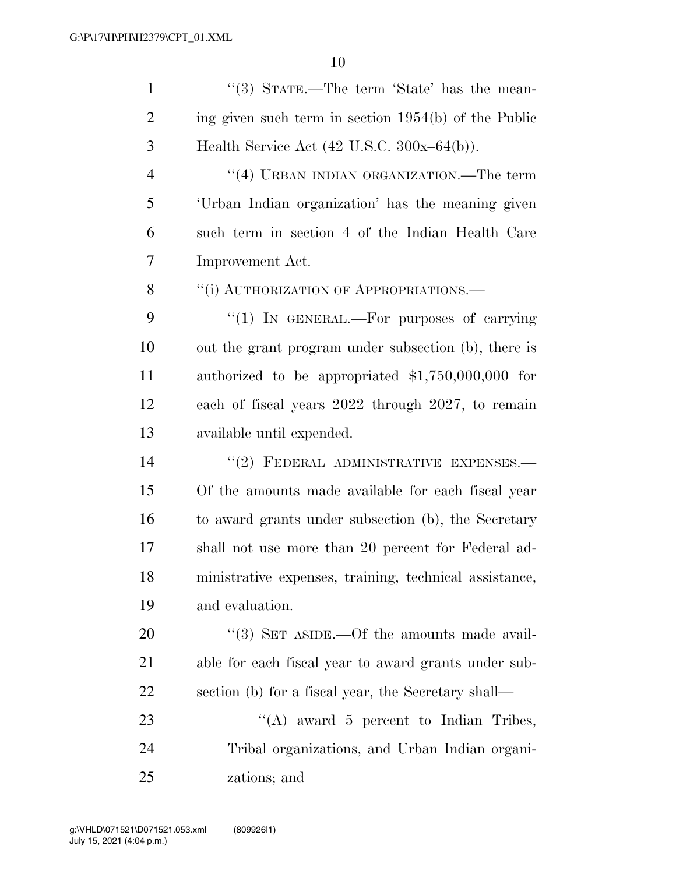| $\mathbf{1}$   | "(3) STATE.—The term 'State' has the mean-             |
|----------------|--------------------------------------------------------|
| $\overline{2}$ | ing given such term in section 1954(b) of the Public   |
| 3              | Health Service Act $(42 \text{ U.S.C. } 300x-64(b)).$  |
| $\overline{4}$ | "(4) URBAN INDIAN ORGANIZATION.—The term               |
| 5              | 'Urban Indian organization' has the meaning given      |
| 6              | such term in section 4 of the Indian Health Care       |
| 7              | Improvement Act.                                       |
| 8              | "(i) AUTHORIZATION OF APPROPRIATIONS.—                 |
| 9              | "(1) IN GENERAL.—For purposes of carrying              |
| 10             | out the grant program under subsection (b), there is   |
| 11             | authorized to be appropriated $$1,750,000,000$ for     |
| 12             | each of fiscal years 2022 through 2027, to remain      |
| 13             | available until expended.                              |
| 14             | "(2) FEDERAL ADMINISTRATIVE EXPENSES.-                 |
| 15             | Of the amounts made available for each fiscal year     |
| 16             | to award grants under subsection (b), the Secretary    |
| 17             | shall not use more than 20 percent for Federal ad-     |
| 18             | ministrative expenses, training, technical assistance, |
| 19             | and evaluation.                                        |
| <b>20</b>      | "(3) SET ASIDE.—Of the amounts made avail-             |
| 21             | able for each fiscal year to award grants under sub-   |
| 22             | section (b) for a fiscal year, the Secretary shall—    |
| 23             | "(A) award 5 percent to Indian Tribes,                 |
| 24             | Tribal organizations, and Urban Indian organi-         |
| 25             | zations; and                                           |